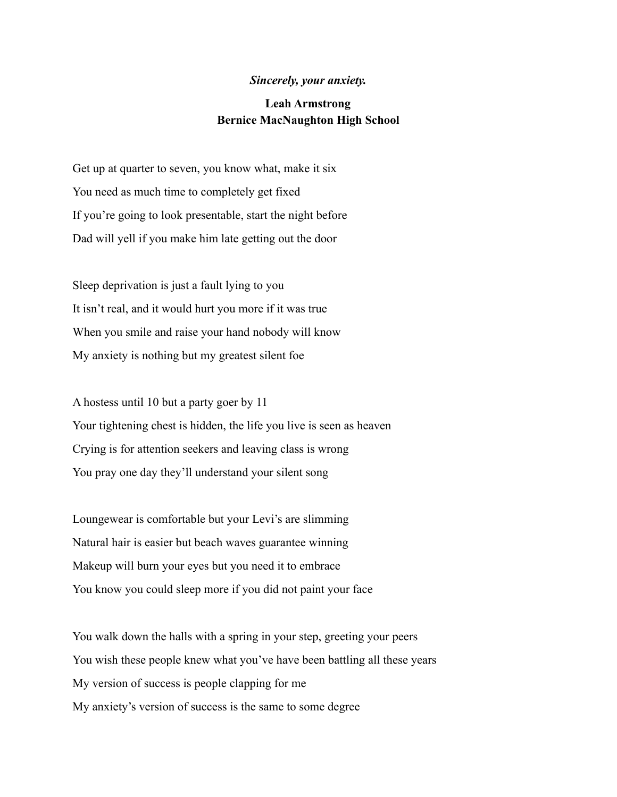## *Sincerely, your anxiety.*

## **Leah Armstrong Bernice MacNaughton High School**

Get up at quarter to seven, you know what, make it six You need as much time to completely get fixed If you're going to look presentable, start the night before Dad will yell if you make him late getting out the door

Sleep deprivation is just a fault lying to you It isn't real, and it would hurt you more if it was true When you smile and raise your hand nobody will know My anxiety is nothing but my greatest silent foe

A hostess until 10 but a party goer by 11 Your tightening chest is hidden, the life you live is seen as heaven Crying is for attention seekers and leaving class is wrong You pray one day they'll understand your silent song

Loungewear is comfortable but your Levi's are slimming Natural hair is easier but beach waves guarantee winning Makeup will burn your eyes but you need it to embrace You know you could sleep more if you did not paint your face

You walk down the halls with a spring in your step, greeting your peers You wish these people knew what you've have been battling all these years My version of success is people clapping for me My anxiety's version of success is the same to some degree